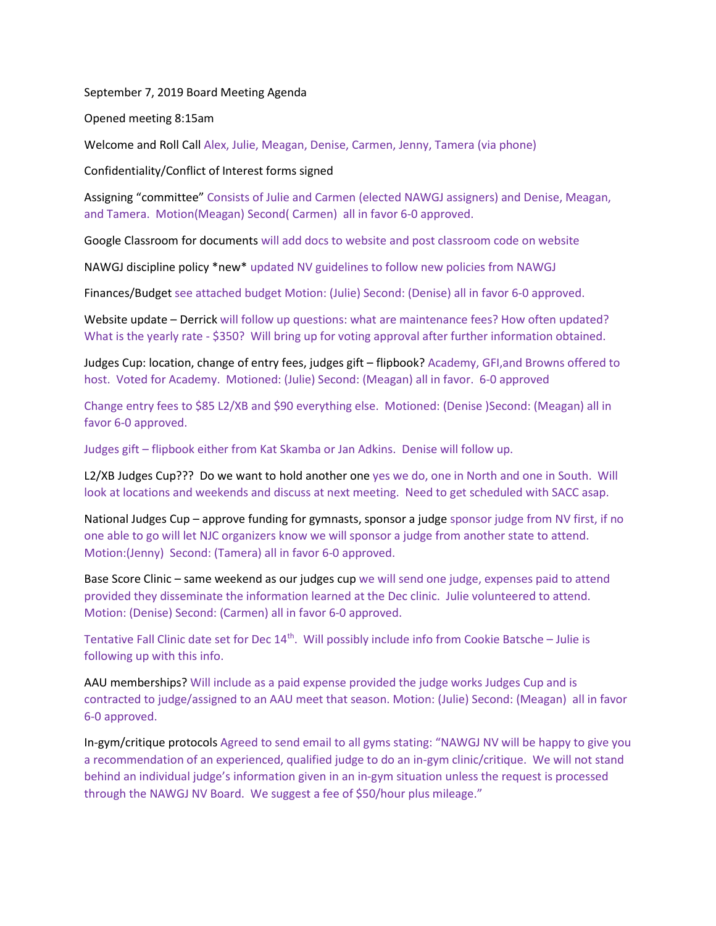September 7, 2019 Board Meeting Agenda

Opened meeting 8:15am

Welcome and Roll Call Alex, Julie, Meagan, Denise, Carmen, Jenny, Tamera (via phone)

Confidentiality/Conflict of Interest forms signed

Assigning "committee" Consists of Julie and Carmen (elected NAWGJ assigners) and Denise, Meagan, and Tamera. Motion(Meagan) Second( Carmen) all in favor 6-0 approved.

Google Classroom for documents will add docs to website and post classroom code on website

NAWGJ discipline policy \*new\* updated NV guidelines to follow new policies from NAWGJ

Finances/Budget see attached budget Motion: (Julie) Second: (Denise) all in favor 6-0 approved.

Website update – Derrick will follow up questions: what are maintenance fees? How often updated? What is the yearly rate - \$350? Will bring up for voting approval after further information obtained.

Judges Cup: location, change of entry fees, judges gift – flipbook? Academy, GFI,and Browns offered to host. Voted for Academy. Motioned: (Julie) Second: (Meagan) all in favor. 6-0 approved

Change entry fees to \$85 L2/XB and \$90 everything else. Motioned: (Denise )Second: (Meagan) all in favor 6-0 approved.

Judges gift – flipbook either from Kat Skamba or Jan Adkins. Denise will follow up.

L2/XB Judges Cup??? Do we want to hold another one yes we do, one in North and one in South. Will look at locations and weekends and discuss at next meeting. Need to get scheduled with SACC asap.

National Judges Cup – approve funding for gymnasts, sponsor a judge sponsor judge from NV first, if no one able to go will let NJC organizers know we will sponsor a judge from another state to attend. Motion:(Jenny) Second: (Tamera) all in favor 6-0 approved.

Base Score Clinic – same weekend as our judges cup we will send one judge, expenses paid to attend provided they disseminate the information learned at the Dec clinic. Julie volunteered to attend. Motion: (Denise) Second: (Carmen) all in favor 6-0 approved.

Tentative Fall Clinic date set for Dec  $14<sup>th</sup>$ . Will possibly include info from Cookie Batsche – Julie is following up with this info.

AAU memberships? Will include as a paid expense provided the judge works Judges Cup and is contracted to judge/assigned to an AAU meet that season. Motion: (Julie) Second: (Meagan) all in favor 6-0 approved.

In-gym/critique protocols Agreed to send email to all gyms stating: "NAWGJ NV will be happy to give you a recommendation of an experienced, qualified judge to do an in-gym clinic/critique. We will not stand behind an individual judge's information given in an in-gym situation unless the request is processed through the NAWGJ NV Board. We suggest a fee of \$50/hour plus mileage."